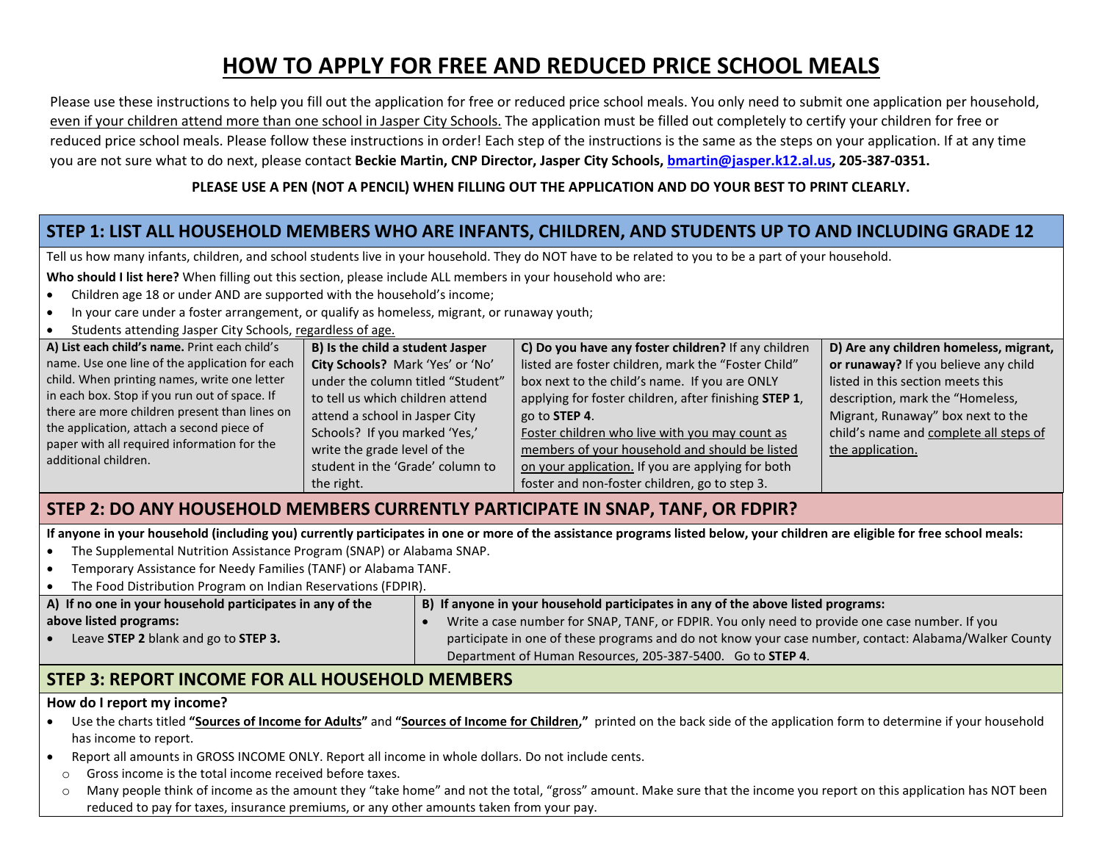# **HOW TO APPLY FOR FREE AND REDUCED PRICE SCHOOL MEALS**

Please use these instructions to help you fill out the application for free or reduced price school meals. You only need to submit one application per household, even if your children attend more than one school in Jasper City Schools. The application must be filled out completely to certify your children for free or reduced price school meals. Please follow these instructions in order! Each step of the instructions is the same as the steps on your application. If at any time you are not sure what to do next, please contact **Beckie Martin, CNP Director, Jasper City Schools[, bmartin@jasper.k12.al.us,](mailto:bmartin@jasper.k12.al.us) 205-387-0351.**

#### **PLEASE USE A PEN (NOT A PENCIL) WHEN FILLING OUT THE APPLICATION AND DO YOUR BEST TO PRINT CLEARLY.**

## **STEP 1: LIST ALL HOUSEHOLD MEMBERS WHO ARE INFANTS, CHILDREN, AND STUDENTS UP TO AND INCLUDING GRADE 12**

Tell us how many infants, children, and school students live in your household. They do NOT have to be related to you to be a part of your household.

**Who should I list here?** When filling out this section, please include ALL members in your household who are:

- Children age 18 or under AND are supported with the household's income;
- In your care under a foster arrangement, or qualify as homeless, migrant, or runaway youth;
- Students attending Jasper City Schools, regardless of age.

| A) List each child's name. Print each child's  | B) Is the child a student Jasper  | C) Do you have any foster children? If any children   | D) Are any children homeless, migrant, |
|------------------------------------------------|-----------------------------------|-------------------------------------------------------|----------------------------------------|
| name. Use one line of the application for each | City Schools? Mark 'Yes' or 'No'  | listed are foster children, mark the "Foster Child"   | or runaway? If you believe any child   |
| child. When printing names, write one letter   | under the column titled "Student" | box next to the child's name. If you are ONLY         | listed in this section meets this      |
| in each box. Stop if you run out of space. If  | to tell us which children attend  | applying for foster children, after finishing STEP 1, | description, mark the "Homeless,       |
| there are more children present than lines on  | attend a school in Jasper City    | go to <b>STEP 4</b> .                                 | Migrant, Runaway" box next to the      |
| the application, attach a second piece of      | Schools? If you marked 'Yes,'     | Foster children who live with you may count as        | child's name and complete all steps of |
| paper with all required information for the    | write the grade level of the      | members of your household and should be listed        | the application.                       |
| additional children.                           | student in the 'Grade' column to  | on your application. If you are applying for both     |                                        |
|                                                | the right.                        | foster and non-foster children, go to step 3.         |                                        |

### **STEP 2: DO ANY HOUSEHOLD MEMBERS CURRENTLY PARTICIPATE IN SNAP, TANF, OR FDPIR?**

**If anyone in your household (including you) currently participates in one or more of the assistance programs listed below, your children are eligible for free school meals:**

- The Supplemental Nutrition Assistance Program (SNAP) or Alabama SNAP.
- Temporary Assistance for Needy Families (TANF) or Alabama TANF.

| The Food Distribution Program on Indian Reservations (FDPIR). |                                                                                                       |  |  |  |
|---------------------------------------------------------------|-------------------------------------------------------------------------------------------------------|--|--|--|
| A) If no one in your household participates in any of the     | B) If anyone in your household participates in any of the above listed programs:                      |  |  |  |
| above listed programs:                                        | Write a case number for SNAP, TANF, or FDPIR. You only need to provide one case number. If you        |  |  |  |
| Leave STEP 2 blank and go to STEP 3.                          | participate in one of these programs and do not know your case number, contact: Alabama/Walker County |  |  |  |
|                                                               | Department of Human Resources, 205-387-5400. Go to STEP 4.                                            |  |  |  |

### **STEP 3: REPORT INCOME FOR ALL HOUSEHOLD MEMBERS**

#### **How do I report my income?**

- Use the charts titled **"Sources of Income for Adults"** and **"Sources of Income for Children,"** printed on the back side of the application form to determine if your household has income to report.
- Report all amounts in GROSS INCOME ONLY. Report all income in whole dollars. Do not include cents.
	- o Gross income is the total income received before taxes.
	- $\circ$  Many people think of income as the amount they "take home" and not the total, "gross" amount. Make sure that the income you report on this application has NOT been reduced to pay for taxes, insurance premiums, or any other amounts taken from your pay.